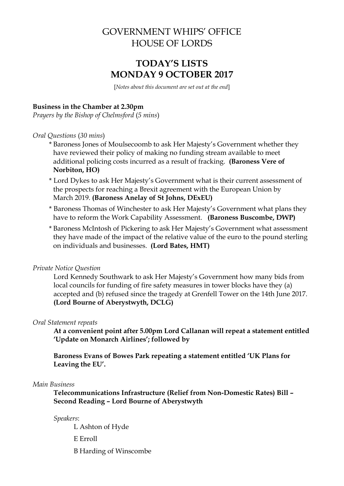# GOVERNMENT WHIPS' OFFICE HOUSE OF LORDS

# **TODAY'S LISTS MONDAY 9 OCTOBER 2017**

[*Notes about this document are set out at the end*]

### **Business in the Chamber at 2.30pm**

*Prayers by the Bishop of Chelmsford* (*5 mins*)

#### *Oral Questions* (*30 mins*)

- \* Baroness Jones of Moulsecoomb to ask Her Majesty's Government whether they have reviewed their policy of making no funding stream available to meet additional policing costs incurred as a result of fracking. **(Baroness Vere of Norbiton, HO)**
- \* Lord Dykes to ask Her Majesty's Government what is their current assessment of the prospects for reaching a Brexit agreement with the European Union by March 2019. **(Baroness Anelay of St Johns, DExEU)**
- \* Baroness Thomas of Winchester to ask Her Majesty's Government what plans they have to reform the Work Capability Assessment. **(Baroness Buscombe, DWP)**
- \* Baroness McIntosh of Pickering to ask Her Majesty's Government what assessment they have made of the impact of the relative value of the euro to the pound sterling on individuals and businesses. **(Lord Bates, HMT)**

#### *Private Notice Question*

Lord Kennedy Southwark to ask Her Majesty's Government how many bids from local councils for funding of fire safety measures in tower blocks have they (a) accepted and (b) refused since the tragedy at Grenfell Tower on the 14th June 2017. **(Lord Bourne of Aberystwyth, DCLG)**

#### *Oral Statement repeats*

**At a convenient point after 5.00pm Lord Callanan will repeat a statement entitled 'Update on Monarch Airlines'; followed by**

**Baroness Evans of Bowes Park repeating a statement entitled 'UK Plans for Leaving the EU'.**

#### *Main Business*

**Telecommunications Infrastructure (Relief from Non-Domestic Rates) Bill – Second Reading – Lord Bourne of Aberystwyth**

*Speakers*:

L Ashton of Hyde E Erroll B Harding of Winscombe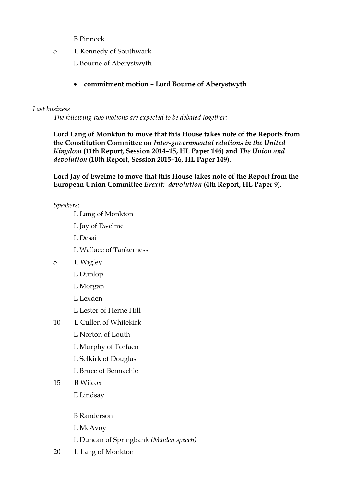B Pinnock

5 L Kennedy of Southwark

L Bourne of Aberystwyth

**commitment motion – Lord Bourne of Aberystwyth**

### *Last business*

*The following two motions are expected to be debated together:*

**Lord Lang of Monkton to move that this House takes note of the Reports from the Constitution Committee on** *Inter-governmental relations in the United Kingdom* **(11th Report, Session 2014–15, HL Paper 146) and** *The Union and devolution* **(10th Report, Session 2015–16, HL Paper 149).**

**Lord Jay of Ewelme to move that this House takes note of the Report from the European Union Committee** *Brexit: devolution* **(4th Report, HL Paper 9).**

*Speakers*:

- L Lang of Monkton
- L Jay of Ewelme
- L Desai
- L Wallace of Tankerness
- 5 L Wigley
	- L Dunlop
	- L Morgan
	- L Lexden
	- L Lester of Herne Hill
- 10 L Cullen of Whitekirk
	- L Norton of Louth
	- L Murphy of Torfaen
	- L Selkirk of Douglas
	- L Bruce of Bennachie
- 15 B Wilcox
	- E Lindsay
	- B Randerson
	- L McAvoy
	- L Duncan of Springbank *(Maiden speech)*
- 20 L Lang of Monkton